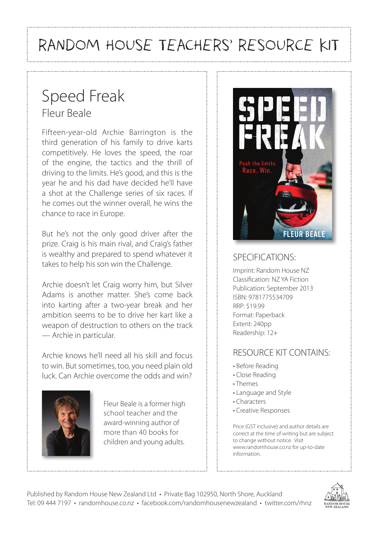# RANDOM HOUSE TEACHERS' RESOURCE KIT

## Speed Freak Fleur Beale

Fifteen-year-old Archie Barrington is the third generation of his family to drive karts competitively. He loves the speed, the roar of the engine, the tactics and the thrill of driving to the limits. He's good, and this is the year he and his dad have decided he'll have a shot at the Challenge series of six races. If he comes out the winner overall, he wins the chance to race in Europe.

But he's not the only good driver after the prize. Craig is his main rival, and Craig's father is wealthy and prepared to spend whatever it takes to help his son win the Challenge.

Archie doesn't let Craig worry him, but Silver Adams is another matter. She's come back into karting after a two-year break and her ambition seems to be to drive her kart like a weapon of destruction to others on the track — Archie in particular.

Archie knows he'll need all his skill and focus to win. But sometimes, too, you need plain old luck. Can Archie overcome the odds and win?



Fleur Beale is a former high school teacher and the award-winning author of more than 40 books for children and young adults.



#### SPECIFICATIONS:

Imprint: Random House NZ Classification: NZ YA Fiction Publication: September 2013 ISBN: 9781775534709 RRP: \$19.99 Format: Paperback Extent: 240pp Readership: 12+

#### RESOURCE KIT CONTAINS:

- Before Reading
- Close Reading
- Themes
- Language and Style
- Characters
- Creative Responses

Price (GST inclusive) and author details are correct at the time of writing but are subject to change without notice. Visit www.randomhouse.co.nz for up-to-date information.

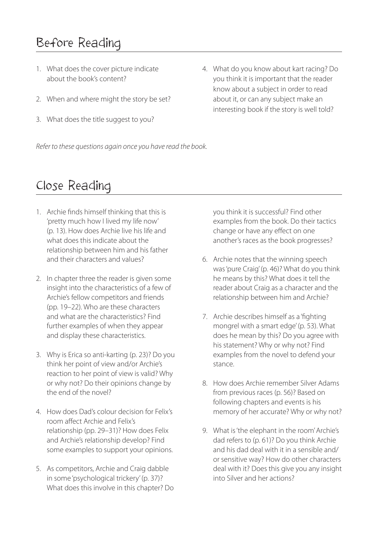### Before Reading

- 1. What does the cover picture indicate about the book's content?
- 2. When and where might the story be set?
- 3. What does the title suggest to you?
- 4. What do you know about kart racing? Do you think it is important that the reader know about a subject in order to read about it, or can any subject make an interesting book if the story is well told?

*Refer to these questions again once you have read the book.*

#### Close Reading

- 1. Archie finds himself thinking that this is 'pretty much how I lived my life now' (p. 13). How does Archie live his life and what does this indicate about the relationship between him and his father and their characters and values?
- 2. In chapter three the reader is given some insight into the characteristics of a few of Archie's fellow competitors and friends (pp. 19–22). Who are these characters and what are the characteristics? Find further examples of when they appear and display these characteristics.
- 3. Why is Erica so anti-karting (p. 23)? Do you think her point of view and/or Archie's reaction to her point of view is valid? Why or why not? Do their opinions change by the end of the novel?
- 4. How does Dad's colour decision for Felix's room affect Archie and Felix's relationship (pp. 29–31)? How does Felix and Archie's relationship develop? Find some examples to support your opinions.
- 5. As competitors, Archie and Craig dabble in some 'psychological trickery' (p. 37)? What does this involve in this chapter? Do

you think it is successful? Find other examples from the book. Do their tactics change or have any effect on one another's races as the book progresses?

- 6. Archie notes that the winning speech was 'pure Craig' (p. 46)? What do you think he means by this? What does it tell the reader about Craig as a character and the relationship between him and Archie?
- 7. Archie describes himself as a 'fighting mongrel with a smart edge' (p. 53). What does he mean by this? Do you agree with his statement? Why or why not? Find examples from the novel to defend your stance.
- 8. How does Archie remember Silver Adams from previous races (p. 56)? Based on following chapters and events is his memory of her accurate? Why or why not?
- 9. What is 'the elephant in the room' Archie's dad refers to (p. 61)? Do you think Archie and his dad deal with it in a sensible and/ or sensitive way? How do other characters deal with it? Does this give you any insight into Silver and her actions?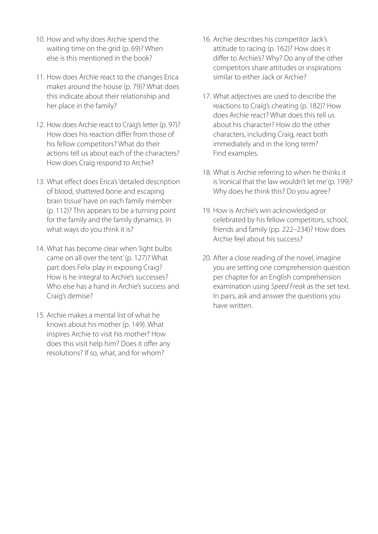- 10. How and why does Archie spend the waiting time on the grid (p. 69)? When else is this mentioned in the book?
- 11. How does Archie react to the changes Erica makes around the house (p. 79)? What does this indicate about their relationship and her place in the family?
- 12. How does Archie react to Craig's letter (p. 97)? How does his reaction differ from those of his fellow competitors? What do their actions tell us about each of the characters? How does Craig respond to Archie?
- 13. What effect does Erica's 'detailed description of blood, shattered bone and escaping brain tissue' have on each family member (p. 112)? This appears to be a turning point for the family and the family dynamics. In what ways do you think it is?
- 14. What has become clear when 'light bulbs came on all over the tent' (p. 127)? What part does Felix play in exposing Craig? How is he integral to Archie's successes? Who else has a hand in Archie's success and Craig's demise?
- 15. Archie makes a mental list of what he knows about his mother (p. 149). What inspires Archie to visit his mother? How does this visit help him? Does it offer any resolutions? If so, what, and for whom?
- 16. Archie describes his competitor Jack's attitude to racing (p. 162)? How does it differ to Archie's? Why? Do any of the other competitors share attitudes or inspirations similar to either Jack or Archie?
- 17. What adjectives are used to describe the reactions to Craig's cheating (p. 182)? How does Archie react? What does this tell us about his character? How do the other characters, including Craig, react both immediately and in the long term? Find examples.
- 18. What is Archie referring to when he thinks it is 'ironical that the law wouldn't let me' (p. 199)? Why does he think this? Do you agree?
- 19. How is Archie's win acknowledged or celebrated by his fellow competitors, school, friends and family (pp. 222–234)? How does Archie feel about his success?
- 20. After a close reading of the novel, imagine you are setting one comprehension question per chapter for an English comprehension examination using *Speed Freak* as the set text. In pairs, ask and answer the questions you have written.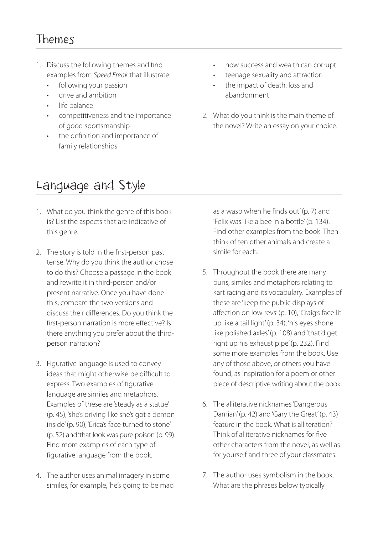#### Themes

- 1. Discuss the following themes and find examples from *Speed Freak* that illustrate:
	- following your passion
	- drive and ambition
	- life balance
	- competitiveness and the importance of good sportsmanship
	- the definition and importance of family relationships
- how success and wealth can corrupt
- teenage sexuality and attraction
- the impact of death, loss and abandonment
- 2. What do you think is the main theme of the novel? Write an essay on your choice.

### Language and Style

- 1. What do you think the genre of this book is? List the aspects that are indicative of this genre.
- 2. The story is told in the first-person past tense. Why do you think the author chose to do this? Choose a passage in the book and rewrite it in third-person and/or present narrative. Once you have done this, compare the two versions and discuss their differences. Do you think the first-person narration is more effective? Is there anything you prefer about the thirdperson narration?
- 3. Figurative language is used to convey ideas that might otherwise be difficult to express. Two examples of figurative language are similes and metaphors. Examples of these are 'steady as a statue' (p. 45), 'she's driving like she's got a demon inside' (p. 90), 'Erica's face turned to stone' (p. 52) and 'that look was pure poison' (p. 99). Find more examples of each type of figurative language from the book.
- 4. The author uses animal imagery in some similes, for example, 'he's going to be mad

as a wasp when he finds out' (p. 7) and 'Felix was like a bee in a bottle' (p. 134). Find other examples from the book. Then think of ten other animals and create a simile for each.

- 5. Throughout the book there are many puns, similes and metaphors relating to kart racing and its vocabulary. Examples of these are 'keep the public displays of affection on low revs' (p. 10), 'Craig's face lit up like a tail light' (p. 34), 'his eyes shone like polished axles' (p. 108) and 'that'd get right up his exhaust pipe' (p. 232). Find some more examples from the book. Use any of those above, or others you have found, as inspiration for a poem or other piece of descriptive writing about the book.
- 6. The alliterative nicknames 'Dangerous Damian' (p. 42) and 'Gary the Great' (p. 43) feature in the book. What is alliteration? Think of alliterative nicknames for five other characters from the novel, as well as for yourself and three of your classmates.
- 7. The author uses symbolism in the book. What are the phrases below typically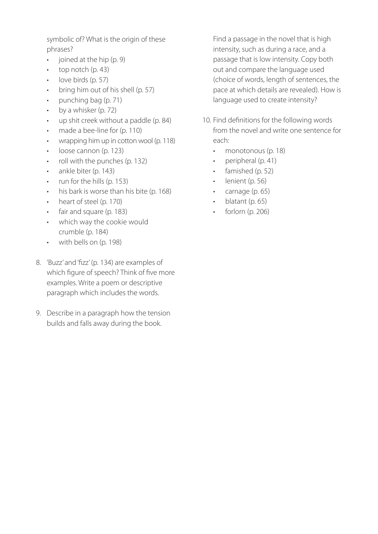symbolic of? What is the origin of these phrases?

- joined at the hip (p. 9)
- $\cdot$  top notch (p. 43)
- love birds (p. 57)
- bring him out of his shell (p. 57)
- punching bag (p. 71)
- $\cdot$  by a whisker (p. 72)
- up shit creek without a paddle (p. 84)
- made a bee-line for (p. 110)
- wrapping him up in cotton wool (p. 118)
- loose cannon (p. 123)
- roll with the punches (p. 132)
- ankle biter (p. 143)
- run for the hills (p. 153)
- his bark is worse than his bite (p. 168)
- heart of steel (p. 170)
- fair and square (p. 183)
- which way the cookie would crumble (p. 184)
- with bells on (p. 198)
- 8. 'Buzz' and 'fizz' (p. 134) are examples of which figure of speech? Think of five more examples. Write a poem or descriptive paragraph which includes the words.
- 9. Describe in a paragraph how the tension builds and falls away during the book.

Find a passage in the novel that is high intensity, such as during a race, and a passage that is low intensity. Copy both out and compare the language used (choice of words, length of sentences, the pace at which details are revealed). How is language used to create intensity?

- 10. Find definitions for the following words from the novel and write one sentence for each:
	- monotonous (p. 18)
	- peripheral (p. 41)
	- famished (p. 52)
	- lenient (p. 56)
	- carnage (p. 65)
	- blatant (p. 65)
	- $\cdot$  forlorn (p. 206)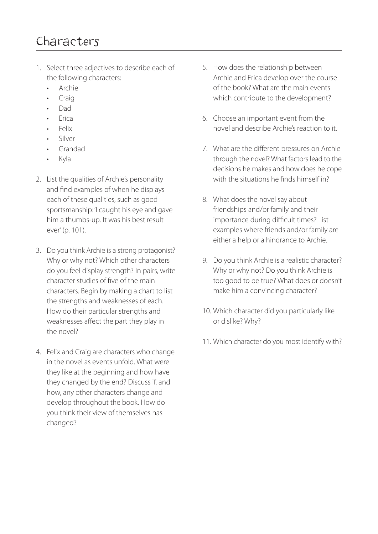- 1. Select three adjectives to describe each of the following characters:
	- Archie
	- Craig
	- Dad
	- Erica
	- Felix
	- Silver
	- Grandad
	- Kyla
- 2. List the qualities of Archie's personality and find examples of when he displays each of these qualities, such as good sportsmanship: 'I caught his eye and gave him a thumbs-up. It was his best result ever' (p. 101).
- 3. Do you think Archie is a strong protagonist? Why or why not? Which other characters do you feel display strength? In pairs, write character studies of five of the main characters. Begin by making a chart to list the strengths and weaknesses of each. How do their particular strengths and weaknesses affect the part they play in the novel?
- 4. Felix and Craig are characters who change in the novel as events unfold. What were they like at the beginning and how have they changed by the end? Discuss if, and how, any other characters change and develop throughout the book. How do you think their view of themselves has changed?
- 5. How does the relationship between Archie and Erica develop over the course of the book? What are the main events which contribute to the development?
- 6. Choose an important event from the novel and describe Archie's reaction to it.
- 7. What are the different pressures on Archie through the novel? What factors lead to the decisions he makes and how does he cope with the situations he finds himself in?
- 8. What does the novel say about friendships and/or family and their importance during difficult times? List examples where friends and/or family are either a help or a hindrance to Archie.
- 9. Do you think Archie is a realistic character? Why or why not? Do you think Archie is too good to be true? What does or doesn't make him a convincing character?
- 10. Which character did you particularly like or dislike? Why?
- 11. Which character do you most identify with?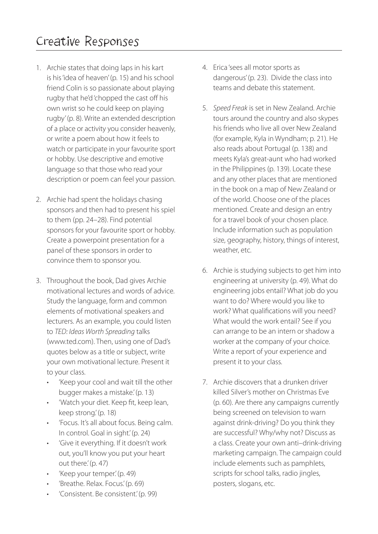### Creative Responses

- 1. Archie states that doing laps in his kart is his 'idea of heaven' (p. 15) and his school friend Colin is so passionate about playing rugby that he'd 'chopped the cast off his own wrist so he could keep on playing rugby' (p. 8). Write an extended description of a place or activity you consider heavenly, or write a poem about how it feels to watch or participate in your favourite sport or hobby. Use descriptive and emotive language so that those who read your description or poem can feel your passion.
- 2. Archie had spent the holidays chasing sponsors and then had to present his spiel to them (pp. 24–28). Find potential sponsors for your favourite sport or hobby. Create a powerpoint presentation for a panel of these sponsors in order to convince them to sponsor you.
- 3. Throughout the book, Dad gives Archie motivational lectures and words of advice. Study the language, form and common elements of motivational speakers and lecturers. As an example, you could listen to *TED: Ideas Worth Spreading* talks (www.ted.com). Then, using one of Dad's quotes below as a title or subject, write your own motivational lecture. Present it to your class.
	- 'Keep your cool and wait till the other bugger makes a mistake.' (p. 13)
	- 'Watch your diet. Keep fit, keep lean, keep strong.' (p. 18)
	- 'Focus. It's all about focus. Being calm. In control. Goal in sight.' (p. 24)
	- 'Give it everything. If it doesn't work out, you'll know you put your heart out there.' (p. 47)
	- 'Keep your temper.' (p. 49)
	- 'Breathe. Relax. Focus.' (p. 69)
	- 'Consistent. Be consistent.' (p. 99)
- 4. Erica 'sees all motor sports as dangerous' (p. 23). Divide the class into teams and debate this statement.
- 5. *Speed Freak* is set in New Zealand. Archie tours around the country and also skypes his friends who live all over New Zealand (for example, Kyla in Wyndham; p. 21). He also reads about Portugal (p. 138) and meets Kyla's great-aunt who had worked in the Philippines (p. 139). Locate these and any other places that are mentioned in the book on a map of New Zealand or of the world. Choose one of the places mentioned. Create and design an entry for a travel book of your chosen place. Include information such as population size, geography, history, things of interest, weather, etc.
- 6. Archie is studying subjects to get him into engineering at university (p. 49). What do engineering jobs entail? What job do you want to do? Where would you like to work? What qualifications will you need? What would the work entail? See if you can arrange to be an intern or shadow a worker at the company of your choice. Write a report of your experience and present it to your class.
- 7. Archie discovers that a drunken driver killed Silver's mother on Christmas Eve (p. 60). Are there any campaigns currently being screened on television to warn against drink-driving? Do you think they are successful? Why/why not? Discuss as a class. Create your own anti–drink-driving marketing campaign. The campaign could include elements such as pamphlets, scripts for school talks, radio jingles, posters, slogans, etc.